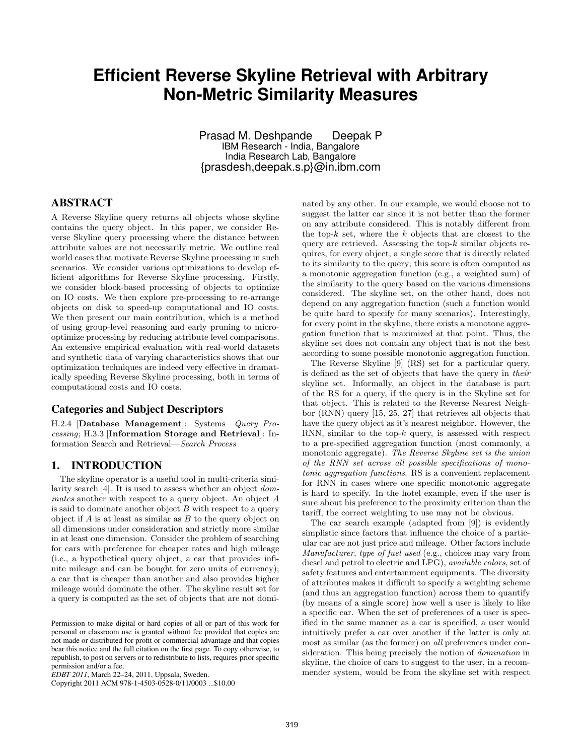# **Efficient Reverse Skyline Retrieval with Arbitrary Non-Metric Similarity Measures**

Prasad M. Deshpande Deepak P IBM Research - India, Bangalore India Research Lab, Bangalore {prasdesh,deepak.s.p}@in.ibm.com

# **ABSTRACT**

A Reverse Skyline query returns all objects whose skyline contains the query object. In this paper, we consider Reverse Skyline query processing where the distance between attribute values are not necessarily metric. We outline real world cases that motivate Reverse Skyline processing in such scenarios. We consider various optimizations to develop efficient algorithms for Reverse Skyline processing. Firstly, we consider block-based processing of objects to optimize on IO costs. We then explore pre-processing to re-arrange objects on disk to speed-up computational and IO costs. We then present our main contribution, which is a method of using group-level reasoning and early pruning to microoptimize processing by reducing attribute level comparisons. An extensive empirical evaluation with real-world datasets and synthetic data of varying characteristics shows that our optimization techniques are indeed very effective in dramatically speeding Reverse Skyline processing, both in terms of computational costs and IO costs.

# **Categories and Subject Descriptors**

H.2.4 [Database Management]: Systems—Query Processing; H.3.3 [Information Storage and Retrieval]: Information Search and Retrieval—Search Process

# **1. INTRODUCTION**

The skyline operator is a useful tool in multi-criteria similarity search [4]. It is used to assess whether an object dominates another with respect to a query object. An object A is said to dominate another object  $B$  with respect to a query object if  $A$  is at least as similar as  $B$  to the query object on all dimensions under consideration and strictly more similar in at least one dimension. Consider the problem of searching for cars with preference for cheaper rates and high mileage (i.e., a hypothetical query object, a car that provides infinite mileage and can be bought for zero units of currency); a car that is cheaper than another and also provides higher mileage would dominate the other. The skyline result set for a query is computed as the set of objects that are not domi-

Copyright 2011 ACM 978-1-4503-0528-0/11/0003 ...\$10.00

nated by any other. In our example, we would choose not to suggest the latter car since it is not better than the former on any attribute considered. This is notably different from the top- $k$  set, where the  $k$  objects that are closest to the query are retrieved. Assessing the top- $k$  similar objects requires, for every object, a single score that is directly related to its similarity to the query; this score is often computed as a monotonic aggregation function (e.g., a weighted sum) of the similarity to the query based on the various dimensions considered. The skyline set, on the other hand, does not depend on any aggregation function (such a function would be quite hard to specify for many scenarios). Interestingly, for every point in the skyline, there exists a monotone aggregation function that is maximized at that point. Thus, the skyline set does not contain any object that is not the best according to some possible monotonic aggregation function.

The Reverse Skyline [9] (RS) set for a particular query, is defined as the set of objects that have the query in their skyline set. Informally, an object in the database is part of the RS for a query, if the query is in the Skyline set for that object. This is related to the Reverse Nearest Neighbor (RNN) query [15, 25, 27] that retrieves all objects that have the query object as it's nearest neighbor. However, the RNN, similar to the top-k query, is assessed with respect to a pre-specified aggregation function (most commonly, a monotonic aggregate). The Reverse Skyline set is the union of the RNN set across all possible specifications of monotonic aggregation functions. RS is a convenient replacement for RNN in cases where one specific monotonic aggregate is hard to specify. In the hotel example, even if the user is sure about his preference to the proximity criterion than the tariff, the correct weighting to use may not be obvious.

The car search example (adapted from [9]) is evidently simplistic since factors that influence the choice of a particular car are not just price and mileage. Other factors include Manufacturer, type of fuel used (e.g., choices may vary from diesel and petrol to electric and LPG), available colors, set of safety features and entertainment equipments. The diversity of attributes makes it difficult to specify a weighting scheme (and thus an aggregation function) across them to quantify (by means of a single score) how well a user is likely to like a specific car. When the set of preferences of a user is specified in the same manner as a car is specified, a user would intuitively prefer a car over another if the latter is only at most as similar (as the former) on all preferences under consideration. This being precisely the notion of domination in skyline, the choice of cars to suggest to the user, in a recommender system, would be from the skyline set with respect

Permission to make digital or hard copies of all or part of this work for personal or classroom use is granted without fee provided that copies are not made or distributed for profit or commercial advantage and that copies bear this notice and the full citation on the first page. To copy otherwise, to republish, to post on servers or to redistribute to lists, requires prior specific permission and/or a fee.

*EDBT 2011*, March 22–24, 2011, Uppsala, Sweden.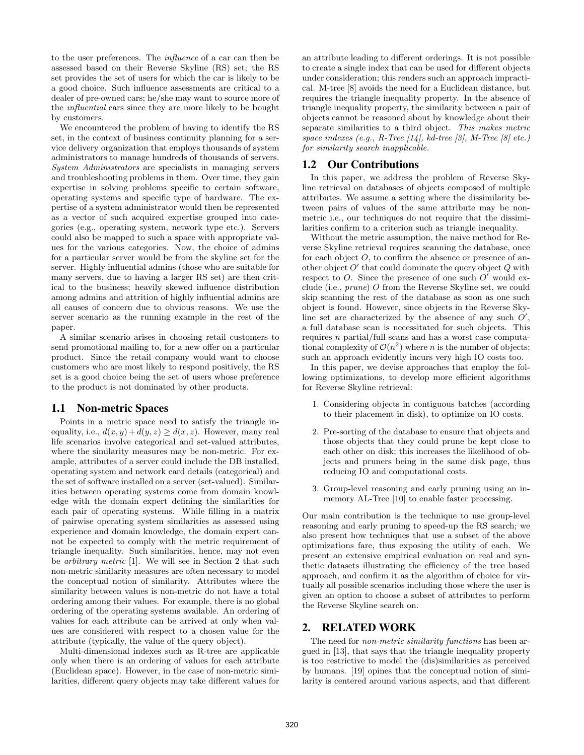to the user preferences. The influence of a car can then be assessed based on their Reverse Skyline (RS) set; the RS set provides the set of users for which the car is likely to be a good choice. Such influence assessments are critical to a dealer of pre-owned cars; he/she may want to source more of the influential cars since they are more likely to be bought by customers.

We encountered the problem of having to identify the RS set, in the context of business continuity planning for a service delivery organization that employs thousands of system administrators to manage hundreds of thousands of servers. System Administrators are specialists in managing servers and troubleshooting problems in them. Over time, they gain expertise in solving problems specific to certain software, operating systems and specific type of hardware. The expertise of a system administrator would then be represented as a vector of such acquired expertise grouped into categories (e.g., operating system, network type etc.). Servers could also be mapped to such a space with appropriate values for the various categories. Now, the choice of admins for a particular server would be from the skyline set for the server. Highly influential admins (those who are suitable for many servers, due to having a larger RS set) are then critical to the business; heavily skewed influence distribution among admins and attrition of highly influential admins are all causes of concern due to obvious reasons. We use the server scenario as the running example in the rest of the paper.

A similar scenario arises in choosing retail customers to send promotional mailing to, for a new offer on a particular product. Since the retail company would want to choose customers who are most likely to respond positively, the RS set is a good choice being the set of users whose preference to the product is not dominated by other products.

# **1.1 Non-metric Spaces**

Points in a metric space need to satisfy the triangle inequality, i.e.,  $d(x, y) + d(y, z) \geq d(x, z)$ . However, many real life scenarios involve categorical and set-valued attributes, where the similarity measures may be non-metric. For example, attributes of a server could include the DB installed, operating system and network card details (categorical) and the set of software installed on a server (set-valued). Similarities between operating systems come from domain knowledge with the domain expert defining the similarities for each pair of operating systems. While filling in a matrix of pairwise operating system similarities as assessed using experience and domain knowledge, the domain expert cannot be expected to comply with the metric requirement of triangle inequality. Such similarities, hence, may not even be arbitrary metric [1]. We will see in Section 2 that such non-metric similarity measures are often necessary to model the conceptual notion of similarity. Attributes where the similarity between values is non-metric do not have a total ordering among their values. For example, there is no global ordering of the operating systems available. An ordering of values for each attribute can be arrived at only when values are considered with respect to a chosen value for the attribute (typically, the value of the query object).

Multi-dimensional indexes such as R-tree are applicable only when there is an ordering of values for each attribute (Euclidean space). However, in the case of non-metric similarities, different query objects may take different values for an attribute leading to different orderings. It is not possible to create a single index that can be used for different objects under consideration; this renders such an approach impractical. M-tree [8] avoids the need for a Euclidean distance, but requires the triangle inequality property. In the absence of triangle inequality property, the similarity between a pair of objects cannot be reasoned about by knowledge about their separate similarities to a third object. This makes metric space indexes (e.g., R-Tree  $[14]$ , kd-tree  $[3]$ , M-Tree  $[8]$  etc.) for similarity search inapplicable.

# **1.2 Our Contributions**

In this paper, we address the problem of Reverse Skyline retrieval on databases of objects composed of multiple attributes. We assume a setting where the dissimilarity between pairs of values of the same attribute may be nonmetric i.e., our techniques do not require that the dissimilarities confirm to a criterion such as triangle inequality.

Without the metric assumption, the naive method for Reverse Skyline retrieval requires scanning the database, once for each object  $O$ , to confirm the absence or presence of another object  $O'$  that could dominate the query object  $Q$  with respect to  $O$ . Since the presence of one such  $O'$  would exclude (i.e., prune) O from the Reverse Skyline set, we could skip scanning the rest of the database as soon as one such object is found. However, since objects in the Reverse Skyline set are characterized by the absence of any such  $O'$ , a full database scan is necessitated for such objects. This requires n partial/full scans and has a worst case computational complexity of  $\mathcal{O}(n^2)$  where n is the number of objects; such an approach evidently incurs very high IO costs too.

In this paper, we devise approaches that employ the following optimizations, to develop more efficient algorithms for Reverse Skyline retrieval:

- 1. Considering objects in contiguous batches (according to their placement in disk), to optimize on IO costs.
- 2. Pre-sorting of the database to ensure that objects and those objects that they could prune be kept close to each other on disk; this increases the likelihood of objects and pruners being in the same disk page, thus reducing IO and computational costs.
- 3. Group-level reasoning and early pruning using an inmemory AL-Tree [10] to enable faster processing.

Our main contribution is the technique to use group-level reasoning and early pruning to speed-up the RS search; we also present how techniques that use a subset of the above optimizations fare, thus exposing the utility of each. We present an extensive empirical evaluation on real and synthetic datasets illustrating the efficiency of the tree based approach, and confirm it as the algorithm of choice for virtually all possible scenarios including those where the user is given an option to choose a subset of attributes to perform the Reverse Skyline search on.

# **2. RELATED WORK**

The need for *non-metric similarity functions* has been argued in [13], that says that the triangle inequality property is too restrictive to model the (dis)similarities as perceived by humans. [19] opines that the conceptual notion of similarity is centered around various aspects, and that different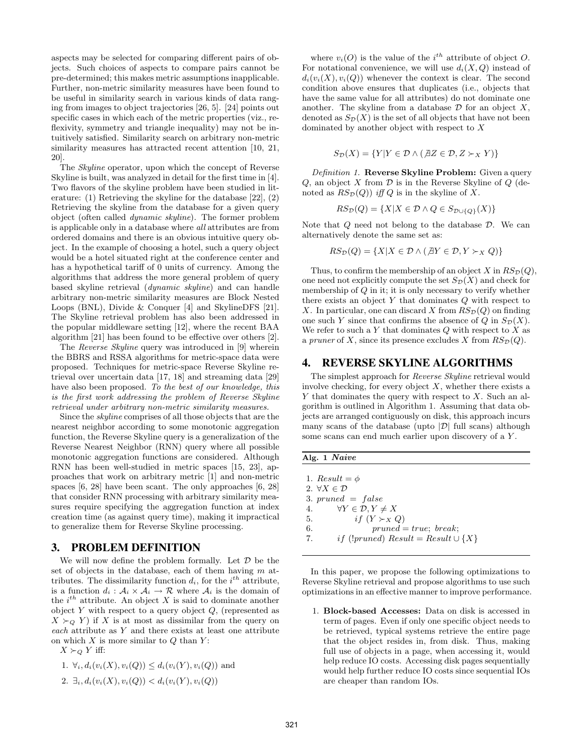aspects may be selected for comparing different pairs of objects. Such choices of aspects to compare pairs cannot be pre-determined; this makes metric assumptions inapplicable. Further, non-metric similarity measures have been found to be useful in similarity search in various kinds of data ranging from images to object trajectories [26, 5]. [24] points out specific cases in which each of the metric properties (viz., reflexivity, symmetry and triangle inequality) may not be intuitively satisfied. Similarity search on arbitrary non-metric similarity measures has attracted recent attention [10, 21, 20].

The Skyline operator, upon which the concept of Reverse Skyline is built, was analyzed in detail for the first time in [4]. Two flavors of the skyline problem have been studied in literature: (1) Retrieving the skyline for the database [22], (2) Retrieving the skyline from the database for a given query object (often called dynamic skyline). The former problem is applicable only in a database where all attributes are from ordered domains and there is an obvious intuitive query object. In the example of choosing a hotel, such a query object would be a hotel situated right at the conference center and has a hypothetical tariff of 0 units of currency. Among the algorithms that address the more general problem of query based skyline retrieval (dynamic skyline) and can handle arbitrary non-metric similarity measures are Block Nested Loops (BNL), Divide & Conquer [4] and SkylineDFS [21]. The Skyline retrieval problem has also been addressed in the popular middleware setting [12], where the recent BAA algorithm [21] has been found to be effective over others [2].

The Reverse Skyline query was introduced in [9] wherein the BBRS and RSSA algorithms for metric-space data were proposed. Techniques for metric-space Reverse Skyline retrieval over uncertain data [17, 18] and streaming data [29] have also been proposed. To the best of our knowledge, this is the first work addressing the problem of Reverse Skyline retrieval under arbitrary non-metric similarity measures.

Since the skyline comprises of all those objects that are the nearest neighbor according to some monotonic aggregation function, the Reverse Skyline query is a generalization of the Reverse Nearest Neighbor (RNN) query where all possible monotonic aggregation functions are considered. Although RNN has been well-studied in metric spaces [15, 23], approaches that work on arbitrary metric [1] and non-metric spaces [6, 28] have been scant. The only approaches [6, 28] that consider RNN processing with arbitrary similarity measures require specifying the aggregation function at index creation time (as against query time), making it impractical to generalize them for Reverse Skyline processing.

## **3. PROBLEM DEFINITION**

We will now define the problem formally. Let  $\mathcal D$  be the set of objects in the database, each of them having  $m$  attributes. The dissimilarity function  $d_i$ , for the  $i^{th}$  attribute, is a function  $d_i : A_i \times A_i \to \mathcal{R}$  where  $A_i$  is the domain of the  $i^{th}$  attribute. An object X is said to dominate another object  $Y$  with respect to a query object  $Q$ , (represented as  $X \succ o Y$  if X is at most as dissimilar from the query on each attribute as Y and there exists at least one attribute on which  $X$  is more similar to  $Q$  than  $Y$ :

 $X \succ_Q Y$  iff:

1. 
$$
\forall i, d_i(v_i(X), v_i(Q)) \leq d_i(v_i(Y), v_i(Q))
$$
 and

2. 
$$
\exists_i, d_i(v_i(X), v_i(Q)) < d_i(v_i(Y), v_i(Q))
$$

where  $v_i(O)$  is the value of the i<sup>th</sup> attribute of object O. For notational convenience, we will use  $d_i(X, Q)$  instead of  $d_i(v_i(X), v_i(Q))$  whenever the context is clear. The second condition above ensures that duplicates (i.e., objects that have the same value for all attributes) do not dominate one another. The skyline from a database  $\mathcal D$  for an object  $X$ , denoted as  $S_{\mathcal{D}}(X)$  is the set of all objects that have not been dominated by another object with respect to X

$$
S_{\mathcal{D}}(X) = \{ Y | Y \in \mathcal{D} \land (\exists Z \in \mathcal{D}, Z \succ_X Y) \}
$$

Definition 1. Reverse Skyline Problem: Given a query  $Q$ , an object X from  $D$  is in the Reverse Skyline of  $Q$  (denoted as  $RS_{\mathcal{D}}(Q)$  if Q is in the skyline of X.

$$
RS_{\mathcal{D}}(Q) = \{ X | X \in \mathcal{D} \land Q \in S_{\mathcal{D} \cup \{Q\}}(X) \}
$$

Note that  $Q$  need not belong to the database  $D$ . We can alternatively denote the same set as:

$$
RS_{\mathcal{D}}(Q) = \{ X | X \in \mathcal{D} \land (\nexists Y \in \mathcal{D}, Y \succ_X Q) \}
$$

Thus, to confirm the membership of an object X in  $RS_{\mathcal{D}}(Q)$ , one need not explicitly compute the set  $S_{\mathcal{D}}(X)$  and check for membership of Q in it; it is only necessary to verify whether there exists an object Y that dominates Q with respect to X. In particular, one can discard X from  $RS_{\mathcal{D}}(Q)$  on finding one such Y since that confirms the absence of Q in  $S_{\mathcal{D}}(X)$ . We refer to such a  $Y$  that dominates  $Q$  with respect to  $X$  as a pruner of X, since its presence excludes X from  $RS_{\mathcal{D}}(Q)$ .

## **4. REVERSE SKYLINE ALGORITHMS**

The simplest approach for Reverse Skyline retrieval would involve checking, for every object  $X$ , whether there exists a  $Y$  that dominates the query with respect to  $X$ . Such an algorithm is outlined in Algorithm 1. Assuming that data objects are arranged contiguously on disk, this approach incurs many scans of the database (upto  $|\mathcal{D}|$  full scans) although some scans can end much earlier upon discovery of a Y .

#### Alg. 1 Naive

1.  $Result = \phi$ 2.  $\forall X \in \mathcal{D}$ 3. pruned  $= false$ 4.  $\forall Y \in \mathcal{D}, Y \neq X$ 5. if  $(Y \succ_X Q)$ 6.  $pruned = true; break;$ 7. if (!pruned)  $Result = Result \cup \{X\}$ 

In this paper, we propose the following optimizations to Reverse Skyline retrieval and propose algorithms to use such optimizations in an effective manner to improve performance.

1. Block-based Accesses: Data on disk is accessed in term of pages. Even if only one specific object needs to be retrieved, typical systems retrieve the entire page that the object resides in, from disk. Thus, making full use of objects in a page, when accessing it, would help reduce IO costs. Accessing disk pages sequentially would help further reduce IO costs since sequential IOs are cheaper than random IOs.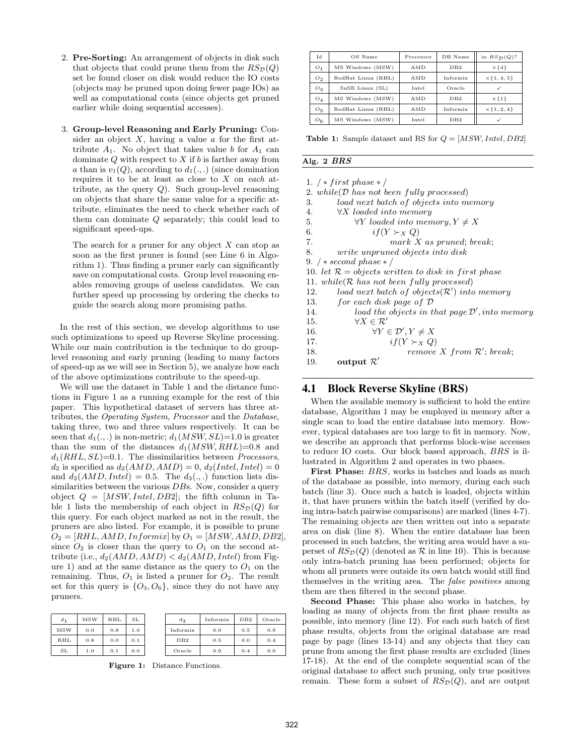- 2. Pre-Sorting: An arrangement of objects in disk such that objects that could prune them from the  $RS_{\mathcal{D}}(Q)$ set be found closer on disk would reduce the IO costs (objects may be pruned upon doing fewer page IOs) as well as computational costs (since objects get pruned earlier while doing sequential accesses).
- 3. Group-level Reasoning and Early Pruning: Consider an object  $X$ , having a value  $\alpha$  for the first attribute  $A_1$ . No object that takes value b for  $A_1$  can dominate  $Q$  with respect to  $X$  if  $b$  is farther away from a than is  $v_1(Q)$ , according to  $d_1(.,.)$  (since domination requires it to be at least as close to X on each attribute, as the query  $Q$ ). Such group-level reasoning on objects that share the same value for a specific attribute, eliminates the need to check whether each of them can dominate Q separately; this could lead to significant speed-ups.

The search for a pruner for any object  $X$  can stop as soon as the first pruner is found (see Line 6 in Algorithm 1). Thus finding a pruner early can significantly save on computational costs. Group level reasoning enables removing groups of useless candidates. We can further speed up processing by ordering the checks to guide the search along more promising paths.

In the rest of this section, we develop algorithms to use such optimizations to speed up Reverse Skyline processing. While our main contribution is the technique to do grouplevel reasoning and early pruning (leading to many factors of speed-up as we will see in Section 5), we analyze how each of the above optimizations contribute to the speed-up.

We will use the dataset in Table 1 and the distance functions in Figure 1 as a running example for the rest of this paper. This hypothetical dataset of servers has three attributes, the Operating System, Processor and the Database, taking three, two and three values respectively. It can be seen that  $d_1(.,.)$  is non-metric;  $d_1(MSW, SL)=1.0$  is greater than the sum of the distances  $d_1(MSW, RHL)=0.8$  and  $d_1(RHL, SL)=0.1$ . The dissimilarities between *Processors*,  $d_2$  is specified as  $d_2(AMD, AMD) = 0$ ,  $d_2(Intel, Intel) = 0$ and  $d_2(AMD, Intel) = 0.5$ . The  $d_3(.,.)$  function lists dissimilarities between the various DBs. Now, consider a query object  $Q = [MSW, Intel, DB2]$ ; the fifth column in Table 1 lists the membership of each object in  $RS_{\mathcal{D}}(Q)$  for this query. For each object marked as not in the result, the pruners are also listed. For example, it is possible to prune  $O_2 = [RHL, AMD, Informix]$  by  $O_1 = [MSW, AMD, DB2],$ since  $O_2$  is closer than the query to  $O_1$  on the second attribute (i.e.,  $d_2(AMD, AMD) < d_2(AMD, Intel)$  from Figure 1) and at the same distance as the query to  $O_1$  on the remaining. Thus,  $O_1$  is listed a pruner for  $O_2$ . The result set for this query is  $\{O_3, O_6\}$ , since they do not have any pruners.

| d <sub>1</sub> | MSW | RHL | SL  | $d_{3}$  |  |
|----------------|-----|-----|-----|----------|--|
| <b>MSW</b>     | 0.0 | 0.8 | 1.0 | Informix |  |
| <b>RHL</b>     | 0.8 | 0.0 | 0.1 | DB2      |  |
| SL             | 1.0 | 0.1 | 0.0 | Oracle   |  |

Informix DB2 Oracle Informix 0.0 0.5 0.9 DB2 | 0.5 | 0.0 | 0.4  $0.9$  0.4 0.0

Figure 1: Distance Functions.

| Id             | OS Name            | Processor | DB Name  | in $RS_{\mathcal{D}}(Q)$ ? |
|----------------|--------------------|-----------|----------|----------------------------|
| O <sub>1</sub> | MS Windows (MSW)   | AMD       | DB2      | $\times \{4\}$             |
| O <sub>2</sub> | RedHat Linux (RHL) | AMD       | Informix | $\times \{1, 4, 5\}$       |
| $O_3$          | SuSE Linux (SL)    | Intel     | Oracle   |                            |
| $O_4$          | MS Windows (MSW)   | AMD       | DB2      | $\times \{1\}$             |
| $O_{5}$        | RedHat Linux (RHL) | AMD       | Informix | $\times \{1, 2, 4\}$       |
| $O_6$          | MS Windows (MSW)   | Intel     | DB2      |                            |

**Table 1:** Sample dataset and RS for  $Q = [MSW, Intel, DB2]$ 

#### Alg. 2 BRS

| 1. $/* first phase */$                                            |
|-------------------------------------------------------------------|
| 2. while $(D$ has not been fully processed)                       |
| 3.<br>load next batch of objects into memory                      |
| $\forall X \ loaded \ into \ memory$<br>4.                        |
| $\forall Y \ loaded \ into \ memory, Y \neq X$<br>5.              |
| $if(Y \succ_X Q)$<br>6.                                           |
| $mark X$ as pruned; break;<br>7.                                  |
| <i>write unpruned objects into disk</i><br>8.                     |
| 9. $/* second phase * /$                                          |
| 10. let $\mathcal{R} =$ objects written to disk in first phase    |
| 11. while $(R$ has not been fully processed)                      |
| load next batch of objects $(\mathcal{R}')$ into memory<br>12.    |
| for each disk page of $D$<br>13.                                  |
| load the objects in that page $\mathcal{D}'$ , into memory<br>14. |
| $\forall X \in \mathcal{R}'$<br>15.                               |
| $\forall Y \in \mathcal{D}', Y \neq X$<br>16.                     |
| $if(Y \succ_X Q)$<br>17.                                          |
| remove $X$ from $\mathcal{R}'$ ; break;<br>18.                    |
| output $\mathcal{R}'$<br>19.                                      |

#### **4.1 Block Reverse Skyline (BRS)**

When the available memory is sufficient to hold the entire database, Algorithm 1 may be employed in memory after a single scan to load the entire database into memory. However, typical databases are too large to fit in memory. Now, we describe an approach that performs block-wise accesses to reduce IO costs. Our block based approach, BRS is illustrated in Algorithm 2 and operates in two phases.

First Phase: BRS, works in batches and loads as much of the database as possible, into memory, during each such batch (line 3). Once such a batch is loaded, objects within it, that have pruners within the batch itself (verified by doing intra-batch pairwise comparisons) are marked (lines 4-7). The remaining objects are then written out into a separate area on disk (line 8). When the entire database has been processed in such batches, the writing area would have a superset of  $RS_{\mathcal{D}}(Q)$  (denoted as  $\mathcal{R}$  in line 10). This is because only intra-batch pruning has been performed; objects for whom all pruners were outside its own batch would still find themselves in the writing area. The false positives among them are then filtered in the second phase.

Second Phase: This phase also works in batches, by loading as many of objects from the first phase results as possible, into memory (line 12). For each such batch of first phase results, objects from the original database are read page by page (lines 13-14) and any objects that they can prune from among the first phase results are excluded (lines 17-18). At the end of the complete sequential scan of the original database to affect such pruning, only true positives remain. These form a subset of  $RS_{\mathcal{D}}(Q)$ , and are output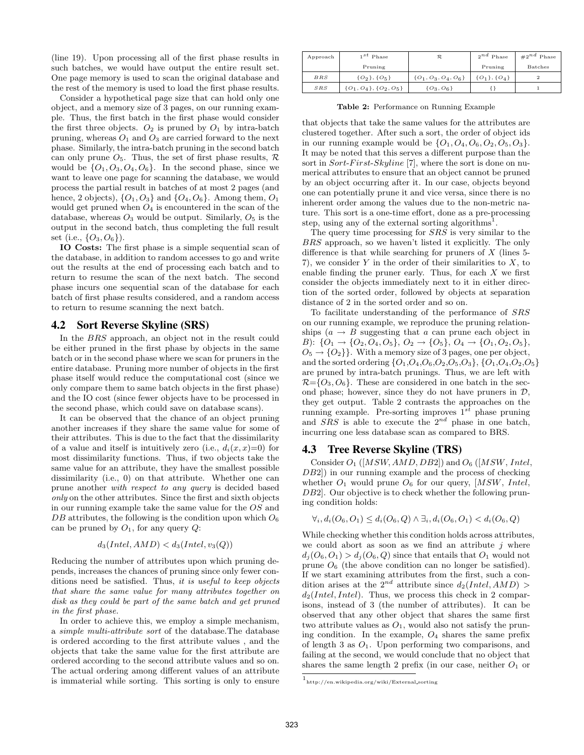(line 19). Upon processing all of the first phase results in such batches, we would have output the entire result set. One page memory is used to scan the original database and the rest of the memory is used to load the first phase results.

Consider a hypothetical page size that can hold only one object, and a memory size of 3 pages, on our running example. Thus, the first batch in the first phase would consider the first three objects.  $O_2$  is pruned by  $O_1$  by intra-batch pruning, whereas  $O_1$  and  $O_3$  are carried forward to the next phase. Similarly, the intra-batch pruning in the second batch can only prune  $O_5$ . Thus, the set of first phase results,  $\mathcal R$ would be  $\{O_1, O_3, O_4, O_6\}$ . In the second phase, since we want to leave one page for scanning the database, we would process the partial result in batches of at most 2 pages (and hence, 2 objects),  $\{O_1, O_3\}$  and  $\{O_4, O_6\}$ . Among them,  $O_1$ would get pruned when  $O_4$  is encountered in the scan of the database, whereas  $O_3$  would be output. Similarly,  $O_5$  is the output in the second batch, thus completing the full result set (i.e.,  $\{O_3, O_6\}$ ).

IO Costs: The first phase is a simple sequential scan of the database, in addition to random accesses to go and write out the results at the end of processing each batch and to return to resume the scan of the next batch. The second phase incurs one sequential scan of the database for each batch of first phase results considered, and a random access to return to resume scanning the next batch.

## **4.2 Sort Reverse Skyline (SRS)**

In the BRS approach, an object not in the result could be either pruned in the first phase by objects in the same batch or in the second phase where we scan for pruners in the entire database. Pruning more number of objects in the first phase itself would reduce the computational cost (since we only compare them to same batch objects in the first phase) and the IO cost (since fewer objects have to be processed in the second phase, which could save on database scans).

It can be observed that the chance of an object pruning another increases if they share the same value for some of their attributes. This is due to the fact that the dissimilarity of a value and itself is intuitively zero (i.e.,  $d_i(x, x)=0$ ) for most dissimilarity functions. Thus, if two objects take the same value for an attribute, they have the smallest possible dissimilarity (i.e., 0) on that attribute. Whether one can prune another with respect to any query is decided based only on the other attributes. Since the first and sixth objects in our running example take the same value for the OS and DB attributes, the following is the condition upon which  $O_6$ can be pruned by  $O_1$ , for any query  $Q$ :

$$
d_3(Intel, AMD) < d_3( Intel, v_3(Q))
$$

Reducing the number of attributes upon which pruning depends, increases the chances of pruning since only fewer conditions need be satisfied. Thus, it is useful to keep objects that share the same value for many attributes together on disk as they could be part of the same batch and get pruned in the first phase.

In order to achieve this, we employ a simple mechanism, a simple multi-attribute sort of the database.The database is ordered according to the first attribute values , and the objects that take the same value for the first attribute are ordered according to the second attribute values and so on. The actual ordering among different values of an attribute is immaterial while sorting. This sorting is only to ensure

| Approach | $1^{st}$ Phase               | R                        | $2^{nd}$ Phase     | $\#2^{nd}$ Phase |
|----------|------------------------------|--------------------------|--------------------|------------------|
|          | Pruning                      |                          | Pruning            | Batches          |
| BRS      | $\{O_2\}, \{O_5\}$           | $\{O_1, O_3, O_4, O_6\}$ | $\{O_1\}, \{O_4\}$ |                  |
| SRS      | $\{O_1, O_4\}, \{O_2, O_5\}$ | $\{O_3, O_6\}$           |                    |                  |

Table 2: Performance on Running Example

that objects that take the same values for the attributes are clustered together. After such a sort, the order of object ids in our running example would be  $\{O_1, O_4, O_6, O_2, O_5, O_3\}.$ It may be noted that this serves a different purpose than the sort in  $Sort\text{-}First\text{-}Skyline [7]$ , where the sort is done on numerical attributes to ensure that an object cannot be pruned by an object occurring after it. In our case, objects beyond one can potentially prune it and vice versa, since there is no inherent order among the values due to the non-metric nature. This sort is a one-time effort, done as a pre-processing step, using any of the external sorting algorithms<sup>1</sup>.

The query time processing for SRS is very similar to the BRS approach, so we haven't listed it explicitly. The only difference is that while searching for pruners of  $X$  (lines 5-7), we consider  $Y$  in the order of their similarities to  $X$ , to enable finding the pruner early. Thus, for each  $X$  we first consider the objects immediately next to it in either direction of the sorted order, followed by objects at separation distance of 2 in the sorted order and so on.

To facilitate understanding of the performance of SRS on our running example, we reproduce the pruning relationships  $(a \rightarrow B$  suggesting that a can prune each object in B):  $\{O_1 \rightarrow \{O_2, O_4, O_5\}, O_2 \rightarrow \{O_5\}, O_4 \rightarrow \{O_1, O_2, O_5\},$  $O_5 \rightarrow \{O_2\}$ . With a memory size of 3 pages, one per object, and the sorted ordering  $\{O_1, O_4, O_6, O_2, O_5, O_3\}$ ,  $\{O_1, O_4, O_2, O_5\}$ are pruned by intra-batch prunings. Thus, we are left with  $\mathcal{R} = \{O_3, O_6\}$ . These are considered in one batch in the second phase; however, since they do not have pruners in  $\mathcal{D}$ , they get output. Table 2 contrasts the approaches on the running example. Pre-sorting improves  $1^{st}$  phase pruning and  $SRS$  is able to execute the  $2^{nd}$  phase in one batch, incurring one less database scan as compared to BRS.

## **4.3 Tree Reverse Skyline (TRS)**

Consider  $O_1$  ([MSW, AMD, DB2]) and  $O_6$  ([MSW, Intel, DB2]) in our running example and the process of checking whether  $O_1$  would prune  $O_6$  for our query, [MSW, Intel, DB2. Our objective is to check whether the following pruning condition holds:

$$
\forall_i, d_i(O_6, O_1) \le d_i(O_6, Q) \land \exists_i, d_i(O_6, O_1) < d_i(O_6, Q)
$$

While checking whether this condition holds across attributes, we could abort as soon as we find an attribute  $j$  where  $d_j(O_6, O_1) > d_j(O_6, Q)$  since that entails that  $O_1$  would not prune  $O_6$  (the above condition can no longer be satisfied). If we start examining attributes from the first, such a condition arises at the  $2^{nd}$  attribute since  $d_2(Intel, AMD)$  $d_2(Intel, Intel)$ . Thus, we process this check in 2 comparisons, instead of 3 (the number of attributes). It can be observed that any other object that shares the same first two attribute values as  $O_1$ , would also not satisfy the pruning condition. In the example,  $O_4$  shares the same prefix of length 3 as  $O_1$ . Upon performing two comparisons, and failing at the second, we would conclude that no object that shares the same length 2 prefix (in our case, neither  $O_1$  or

<sup>1</sup> http://en.wikipedia.org/wiki/External sorting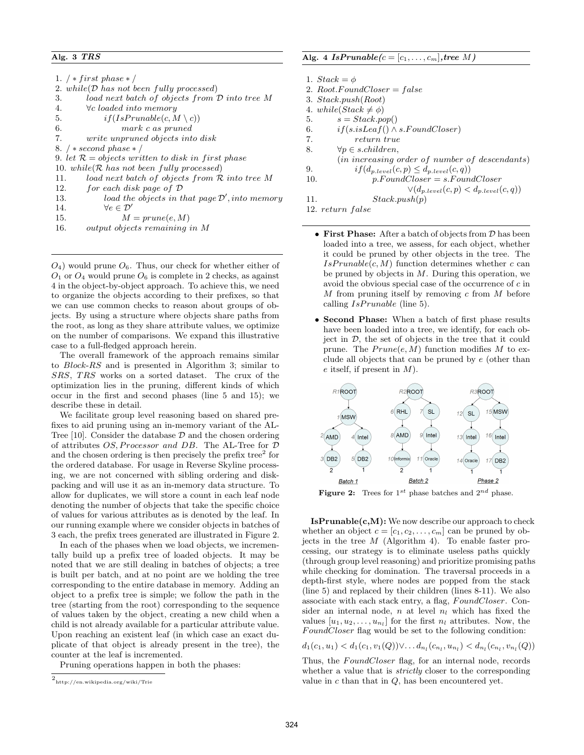#### Alg. 3 TRS

| 1. $/*$ first phase $*/$                                          |
|-------------------------------------------------------------------|
| 2. while $(D$ has not been fully processed)                       |
| load next batch of objects from D into tree M<br>3.               |
| 4.<br>$\forall c \ loaded \ into \ memory$                        |
| $if (IsPrunable(c, M \setminus c))$<br>5.                         |
| mark c as pruned<br>6.                                            |
| <i>urite unpruned objects into disk</i><br>7.                     |
| 8. $/* second phase * /$                                          |
| 9. let $\mathcal{R} =$ objects written to disk in first phase     |
| 10. $while (\mathcal{R} \text{ has not been fully processed})$    |
| load next batch of objects from $R$ into tree M<br>11.            |
| for each disk page of D<br>12.                                    |
| load the objects in that page $\mathcal{D}'$ , into memory<br>13. |
| $\forall e \in \mathcal{D}'$<br>14.                               |
| 15.<br>$M = prune(e, M)$                                          |
| output objects remaining in M<br>16.                              |
|                                                                   |

 $O_4$ ) would prune  $O_6$ . Thus, our check for whether either of  $O_1$  or  $O_4$  would prune  $O_6$  is complete in 2 checks, as against 4 in the object-by-object approach. To achieve this, we need to organize the objects according to their prefixes, so that we can use common checks to reason about groups of objects. By using a structure where objects share paths from the root, as long as they share attribute values, we optimize on the number of comparisons. We expand this illustrative case to a full-fledged approach herein.

The overall framework of the approach remains similar to Block-RS and is presented in Algorithm 3; similar to SRS, TRS works on a sorted dataset. The crux of the optimization lies in the pruning, different kinds of which occur in the first and second phases (line 5 and 15); we describe these in detail.

We facilitate group level reasoning based on shared prefixes to aid pruning using an in-memory variant of the AL-Tree [10]. Consider the database  $D$  and the chosen ordering of attributes  $OS, Processor$  and DB. The AL-Tree for  $D$ and the chosen ordering is then precisely the prefix tree<sup>2</sup> for the ordered database. For usage in Reverse Skyline processing, we are not concerned with sibling ordering and diskpacking and will use it as an in-memory data structure. To allow for duplicates, we will store a count in each leaf node denoting the number of objects that take the specific choice of values for various attributes as is denoted by the leaf. In our running example where we consider objects in batches of 3 each, the prefix trees generated are illustrated in Figure 2.

In each of the phases when we load objects, we incrementally build up a prefix tree of loaded objects. It may be noted that we are still dealing in batches of objects; a tree is built per batch, and at no point are we holding the tree corresponding to the entire database in memory. Adding an object to a prefix tree is simple; we follow the path in the tree (starting from the root) corresponding to the sequence of values taken by the object, creating a new child when a child is not already available for a particular attribute value. Upon reaching an existent leaf (in which case an exact duplicate of that object is already present in the tree), the counter at the leaf is incremented.

Pruning operations happen in both the phases:

#### Alg. 4  $IsPrunable(c = [c_1, \ldots, c_m], tree \ M)$

- 1.  $Stack = \phi$
- 2. Root.FoundCloser =  $false$
- 3. Stack.push(Root)
- 4. while( $Stack \neq \phi$ )
- 5.  $s = Stack.pop()$
- 6.  $if(s.isLeaf() \land s.FoundCloser)$
- 7. return true
- 8.  $\forall p \in s. children,$
- (in increasing order of number of descendants) 9.  $if(d_{p.level}(c, p) \leq d_{p.level}(c, q))$
- 10.  $p. FoundCloser = s. FoundCloser$ 
	- $\vee (d_{p.level}(c, p) < d_{p.level}(c, q))$

11. Stack.push(p)

- 12. return false
	- First Phase: After a batch of objects from  $D$  has been loaded into a tree, we assess, for each object, whether it could be pruned by other objects in the tree. The  $Is Prunable(c, M)$  function determines whether c can be pruned by objects in  $M$ . During this operation, we avoid the obvious special case of the occurrence of  $c$  in  $M$  from pruning itself by removing  $c$  from  $M$  before calling  $IsPr unable$  (line 5).
	- Second Phase: When a batch of first phase results have been loaded into a tree, we identify, for each object in  $D$ , the set of objects in the tree that it could prune. The  $Prune(e, M)$  function modifies M to exclude all objects that can be pruned by e (other than  $e$  itself, if present in  $M$ ).



Figure 2: Trees for  $1^{st}$  phase batches and  $2^{nd}$  phase.

 $IsPrunable(c,M):$  We now describe our approach to check whether an object  $c = [c_1, c_2, \ldots, c_m]$  can be pruned by objects in the tree  $M$  (Algorithm 4). To enable faster processing, our strategy is to eliminate useless paths quickly (through group level reasoning) and prioritize promising paths while checking for domination. The traversal proceeds in a depth-first style, where nodes are popped from the stack (line 5) and replaced by their children (lines 8-11). We also associate with each stack entry, a flag, FoundCloser. Consider an internal node, n at level  $n_l$  which has fixed the values  $[u_1, u_2, \ldots, u_{n_l}]$  for the first  $n_l$  attributes. Now, the FoundCloser flag would be set to the following condition:

 $d_1(c_1, u_1) < d_1(c_1, v_1(Q)) \vee \ldots d_{n_l}(c_{n_l}, u_{n_l}) < d_{n_l}(c_{n_l}, v_{n_l}(Q))$ 

Thus, the FoundCloser flag, for an internal node, records whether a value that is *strictly* closer to the corresponding value in  $c$  than that in  $Q$ , has been encountered yet.

<sup>2</sup> http://en.wikipedia.org/wiki/Trie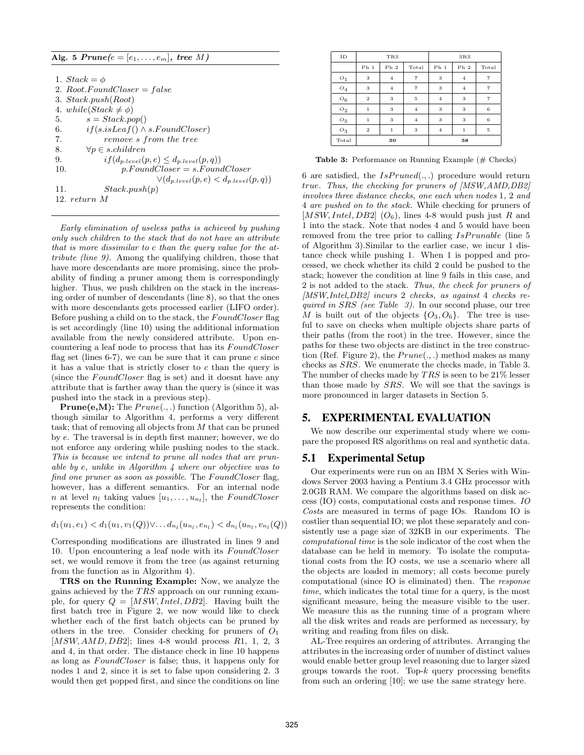#### Alg. 5  $Prune(e = [e_1, \ldots, e_m],$  tree M)

| 1. $Stack = \phi$                                      |
|--------------------------------------------------------|
| 2. $Root. FoundCloser = false$                         |
| 3. $Stack.push(Root)$                                  |
| 4. while( $Stack \neq \phi$ )                          |
| $s = Stack.pop()$<br>5.                                |
| $if(s.isLeaf() \wedge s.FoundCloser)$<br>6.            |
| remove s from the tree<br>7.                           |
| $\forall p \in s. children$<br>8.                      |
| $if(d_{p. level}(p, e) \leq d_{p. level}(p, q))$<br>9. |
| $p. FoundCloser = s. FoundCloser$<br>10.               |
| $\vee (d_{p, level}(p, e) < d_{p, level}(p, q))$       |
| 11.<br>Stack.push(p)                                   |
| 12. return $M$                                         |

Early elimination of useless paths is achieved by pushing only such children to the stack that do not have an attribute that is more dissimilar to c than the query value for the attribute (line 9). Among the qualifying children, those that have more descendants are more promising, since the probability of finding a pruner among them is correspondingly higher. Thus, we push children on the stack in the increasing order of number of descendants (line 8), so that the ones with more descendants gets processed earlier (LIFO order). Before pushing a child on to the stack, the FoundCloser flag is set accordingly (line 10) using the additional information available from the newly considered attribute. Upon encountering a leaf node to process that has its FoundCloser flag set (lines  $6-7$ ), we can be sure that it can prune c since it has a value that is strictly closer to  $c$  than the query is (since the  $FoundCloser$  flag is set) and it doesnt have any attribute that is farther away than the query is (since it was pushed into the stack in a previous step).

**Prune(e,M):** The  $Prune(.,.)$  function (Algorithm 5), although similar to Algorithm 4, performs a very different task; that of removing all objects from M that can be pruned by e. The traversal is in depth first manner; however, we do not enforce any ordering while pushing nodes to the stack. This is because we intend to prune all nodes that are prunable by e, unlike in Algorithm 4 where our objective was to find one pruner as soon as possible. The  $FoundCloser$  flag, however, has a different semantics. For an internal node *n* at level  $n_l$  taking values  $[u_1, \ldots, u_{n_l}]$ , the FoundCloser represents the condition:

 $d_1(u_1, e_1) < d_1(u_1, v_1(Q)) \vee \ldots d_{n_l}(u_{n_l}, e_{n_l}) < d_{n_l}(u_{n_l}, v_{n_l}(Q))$ 

Corresponding modifications are illustrated in lines 9 and 10. Upon encountering a leaf node with its  $FoundCloser$ set, we would remove it from the tree (as against returning from the function as in Algorithm 4).

TRS on the Running Example: Now, we analyze the gains achieved by the  $TRS$  approach on our running example, for query  $Q = [MSW, Intel, DB2]$ . Having built the first batch tree in Figure 2, we now would like to check whether each of the first batch objects can be pruned by others in the tree. Consider checking for pruners of  $O_1$  $[MSW, AMD, DB2]$ ; lines 4-8 would process R1, 1, 2, 3 and 4, in that order. The distance check in line 10 happens as long as  $FoundCloser$  is false; thus, it happens only for nodes 1 and 2, since it is set to false upon considering 2. 3 would then get popped first, and since the conditions on line

| $\rm ID$       | TRS          |                 |                | SRS            |                 |                |
|----------------|--------------|-----------------|----------------|----------------|-----------------|----------------|
|                | Ph 1         | Ph <sub>2</sub> | Total          | Ph 1           | Ph <sub>2</sub> | Total          |
| $O_1$          | 3            | $\overline{4}$  | $\overline{7}$ | 3              | $\overline{4}$  | $\overline{7}$ |
| $O_4$          | 3            | $\overline{4}$  | $\overline{7}$ | 3              | $\overline{4}$  | $\overline{7}$ |
| $O_6$          | $\,2$        | 3               | $\,$ 5         | $\overline{4}$ | 3               | $\overline{7}$ |
| O <sub>2</sub> | $\,1$        | 3               | $\overline{4}$ | 3              | 3               | 6              |
| O <sub>5</sub> | $\mathbf{1}$ | 3               | $\overline{4}$ | 3              | 3               | 6              |
| $O_3$          | $\mathbf{2}$ | $\,1\,$         | 3              | $\overline{4}$ | $\mathbf{1}$    | $\bf 5$        |
| Total          | 30           |                 |                | 38             |                 |                |

Table 3: Performance on Running Example (# Checks)

6 are satisfied, the  $IsPruned(.,.)$  procedure would return true. Thus, the checking for pruners of [MSW,AMD,DB2] involves three distance checks, one each when nodes 1, 2 and 4 are pushed on to the stack. While checking for pruners of  $[MSW, Intel, DB2]$  (O<sub>6</sub>), lines 4-8 would push just R and 1 into the stack. Note that nodes 4 and 5 would have been removed from the tree prior to calling  $IsPrunable$  (line 5) of Algorithm 3).Similar to the earlier case, we incur 1 distance check while pushing 1. When 1 is popped and processed, we check whether its child 2 could be pushed to the stack; however the condition at line 9 fails in this case, and 2 is not added to the stack. Thus, the check for pruners of [MSW,Intel,DB2] incurs 2 checks, as against 4 checks required in SRS (see Table 3). In our second phase, our tree M is built out of the objects  $\{O_3, O_6\}$ . The tree is useful to save on checks when multiple objects share parts of their paths (from the root) in the tree. However, since the paths for these two objects are distinct in the tree construction (Ref. Figure 2), the  $Prune(.,.)$  method makes as many checks as SRS. We enumerate the checks made, in Table 3. The number of checks made by  $TRS$  is seen to be  $21\%$  lesser than those made by SRS. We will see that the savings is more pronounced in larger datasets in Section 5.

# **5. EXPERIMENTAL EVALUATION**

We now describe our experimental study where we compare the proposed RS algorithms on real and synthetic data.

#### **5.1 Experimental Setup**

Our experiments were run on an IBM X Series with Windows Server 2003 having a Pentium 3.4 GHz processor with 2.0GB RAM. We compare the algorithms based on disk access (IO) costs, computational costs and response times. IO Costs are measured in terms of page IOs. Random IO is costlier than sequential IO; we plot these separately and consistently use a page size of 32KB in our experiments. The computational time is the sole indicator of the cost when the database can be held in memory. To isolate the computational costs from the IO costs, we use a scenario where all the objects are loaded in memory; all costs become purely computational (since IO is eliminated) then. The response time, which indicates the total time for a query, is the most significant measure, being the measure visible to the user. We measure this as the running time of a program where all the disk writes and reads are performed as necessary, by writing and reading from files on disk.

AL-Tree requires an ordering of attributes. Arranging the attributes in the increasing order of number of distinct values would enable better group level reasoning due to larger sized groups towards the root. Top- $k$  query processing benefits from such an ordering [10]; we use the same strategy here.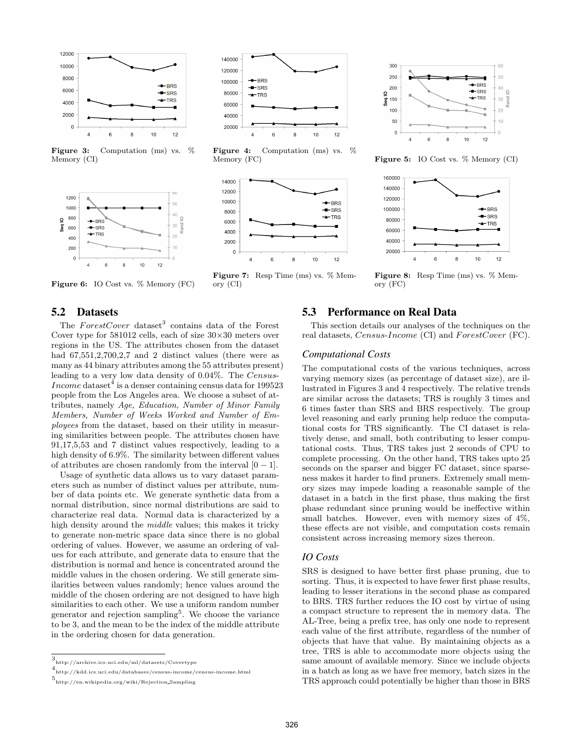

Figure 3: Computation (ms) vs. % Memory (CI)



Figure 6: IO Cost vs. % Memory (FC)

## **5.2 Datasets**

The  $ForestCover$  dataset<sup>3</sup> contains data of the Forest Cover type for 581012 cells, each of size 30×30 meters over regions in the US. The attributes chosen from the dataset had  $67,551,2,700,2,7$  and 2 distinct values (there were as many as 44 binary attributes among the 55 attributes present) leading to a very low data density of 0.04%. The Census-*Income* dataset<sup>4</sup> is a denser containing census data for 199523 people from the Los Angeles area. We choose a subset of attributes, namely Age, Education, Number of Minor Family Members, Number of Weeks Worked and Number of Employees from the dataset, based on their utility in measuring similarities between people. The attributes chosen have 91,17,5,53 and 7 distinct values respectively, leading to a high density of 6.9%. The similarity between different values of attributes are chosen randomly from the interval  $[0 - 1]$ .

Usage of synthetic data allows us to vary dataset parameters such as number of distinct values per attribute, number of data points etc. We generate synthetic data from a normal distribution, since normal distributions are said to characterize real data. Normal data is characterized by a high density around the *middle* values; this makes it tricky to generate non-metric space data since there is no global ordering of values. However, we assume an ordering of values for each attribute, and generate data to ensure that the distribution is normal and hence is concentrated around the middle values in the chosen ordering. We still generate similarities between values randomly; hence values around the middle of the chosen ordering are not designed to have high similarities to each other. We use a uniform random number generator and rejection sampling<sup>5</sup>. We choose the variance to be 3, and the mean to be the index of the middle attribute in the ordering chosen for data generation.



**Figure 4:** Computation (ms) vs. % Memory (FC)



Figure 7: Resp Time (ms) vs. % Memory (CI)



**Figure 5:** IO Cost vs.  $\%$  Memory (CI)



Figure 8: Resp Time (ms) vs. % Memory (FC)

# **5.3 Performance on Real Data**

This section details our analyses of the techniques on the real datasets, Census-Income (CI) and ForestCover (FC).

#### *Computational Costs*

The computational costs of the various techniques, across varying memory sizes (as percentage of dataset size), are illustrated in Figures 3 and 4 respectively. The relative trends are similar across the datasets; TRS is roughly 3 times and 6 times faster than SRS and BRS respectively. The group level reasoning and early pruning help reduce the computational costs for TRS significantly. The CI dataset is relatively dense, and small, both contributing to lesser computational costs. Thus, TRS takes just 2 seconds of CPU to complete processing. On the other hand, TRS takes upto 25 seconds on the sparser and bigger FC dataset, since sparseness makes it harder to find pruners. Extremely small memory sizes may impede loading a reasonable sample of the dataset in a batch in the first phase, thus making the first phase redundant since pruning would be ineffective within small batches. However, even with memory sizes of  $4\%$ , these effects are not visible, and computation costs remain consistent across increasing memory sizes thereon.

#### *IO Costs*

SRS is designed to have better first phase pruning, due to sorting. Thus, it is expected to have fewer first phase results, leading to lesser iterations in the second phase as compared to BRS. TRS further reduces the IO cost by virtue of using a compact structure to represent the in memory data. The AL-Tree, being a prefix tree, has only one node to represent each value of the first attribute, regardless of the number of objects that have that value. By maintaining objects as a tree, TRS is able to accommodate more objects using the same amount of available memory. Since we include objects in a batch as long as we have free memory, batch sizes in the TRS approach could potentially be higher than those in BRS

<sup>3</sup> http://archive.ics.uci.edu/ml/datasets/Covertype

<sup>4</sup> http://kdd.ics.uci.edu/databases/census-income/census-income.html

<sup>5</sup> http://en.wikipedia.org/wiki/Rejection Sampling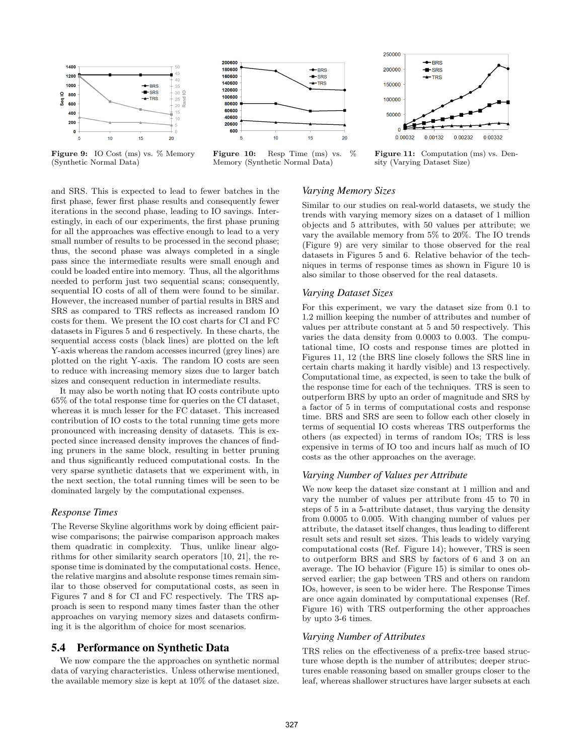

Figure 9: IO Cost (ms) vs. % Memory (Synthetic Normal Data)



Figure 10: Resp Time (ms) vs. % Memory (Synthetic Normal Data)



Figure 11: Computation (ms) vs. Density (Varying Dataset Size)

and SRS. This is expected to lead to fewer batches in the first phase, fewer first phase results and consequently fewer iterations in the second phase, leading to IO savings. Interestingly, in each of our experiments, the first phase pruning for all the approaches was effective enough to lead to a very small number of results to be processed in the second phase; thus, the second phase was always completed in a single pass since the intermediate results were small enough and could be loaded entire into memory. Thus, all the algorithms needed to perform just two sequential scans; consequently, sequential IO costs of all of them were found to be similar. However, the increased number of partial results in BRS and SRS as compared to TRS reflects as increased random IO costs for them. We present the IO cost charts for CI and FC datasets in Figures 5 and 6 respectively. In these charts, the sequential access costs (black lines) are plotted on the left Y-axis whereas the random accesses incurred (grey lines) are plotted on the right Y-axis. The random IO costs are seen to reduce with increasing memory sizes due to larger batch sizes and consequent reduction in intermediate results.

It may also be worth noting that IO costs contribute upto 65% of the total response time for queries on the CI dataset, whereas it is much lesser for the FC dataset. This increased contribution of IO costs to the total running time gets more pronounced with increasing density of datasets. This is expected since increased density improves the chances of finding pruners in the same block, resulting in better pruning and thus significantly reduced computational costs. In the very sparse synthetic datasets that we experiment with, in the next section, the total running times will be seen to be dominated largely by the computational expenses.

## *Response Times*

The Reverse Skyline algorithms work by doing efficient pairwise comparisons; the pairwise comparison approach makes them quadratic in complexity. Thus, unlike linear algorithms for other similarity search operators [10, 21], the response time is dominated by the computational costs. Hence, the relative margins and absolute response times remain similar to those observed for computational costs, as seen in Figures 7 and 8 for CI and FC respectively. The TRS approach is seen to respond many times faster than the other approaches on varying memory sizes and datasets confirming it is the algorithm of choice for most scenarios.

## **5.4 Performance on Synthetic Data**

We now compare the the approaches on synthetic normal data of varying characteristics. Unless otherwise mentioned, the available memory size is kept at 10% of the dataset size.

#### *Varying Memory Sizes*

Similar to our studies on real-world datasets, we study the trends with varying memory sizes on a dataset of 1 million objects and 5 attributes, with 50 values per attribute; we vary the available memory from 5% to 20%. The IO trends (Figure 9) are very similar to those observed for the real datasets in Figures 5 and 6. Relative behavior of the techniques in terms of response times as shown in Figure 10 is also similar to those observed for the real datasets.

#### *Varying Dataset Sizes*

For this experiment, we vary the dataset size from 0.1 to 1.2 million keeping the number of attributes and number of values per attribute constant at 5 and 50 respectively. This varies the data density from 0.0003 to 0.003. The computational time, IO costs and response times are plotted in Figures 11, 12 (the BRS line closely follows the SRS line in certain charts making it hardly visible) and 13 respectively. Computational time, as expected, is seen to take the bulk of the response time for each of the techniques. TRS is seen to outperform BRS by upto an order of magnitude and SRS by a factor of 5 in terms of computational costs and response time. BRS and SRS are seen to follow each other closely in terms of sequential IO costs whereas TRS outperforms the others (as expected) in terms of random IOs; TRS is less expensive in terms of IO too and incurs half as much of IO costs as the other approaches on the average.

#### *Varying Number of Values per Attribute*

We now keep the dataset size constant at 1 million and and vary the number of values per attribute from 45 to 70 in steps of 5 in a 5-attribute dataset, thus varying the density from 0.0005 to 0.005. With changing number of values per attribute, the dataset itself changes, thus leading to different result sets and result set sizes. This leads to widely varying computational costs (Ref. Figure 14); however, TRS is seen to outperform BRS and SRS by factors of 6 and 3 on an average. The IO behavior (Figure 15) is similar to ones observed earlier; the gap between TRS and others on random IOs, however, is seen to be wider here. The Response Times are once again dominated by computational expenses (Ref. Figure 16) with TRS outperforming the other approaches by upto 3-6 times.

#### *Varying Number of Attributes*

TRS relies on the effectiveness of a prefix-tree based structure whose depth is the number of attributes; deeper structures enable reasoning based on smaller groups closer to the leaf, whereas shallower structures have larger subsets at each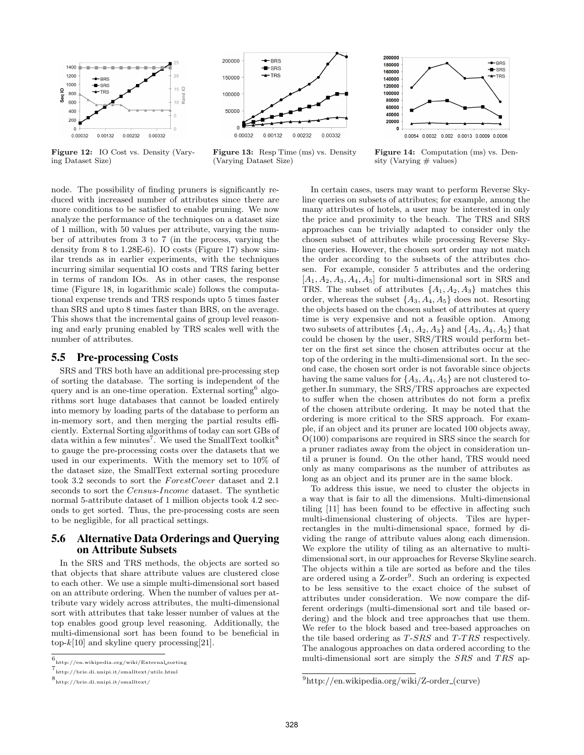

Figure 12: IO Cost vs. Density (Varying Dataset Size)



Figure 13: Resp Time (ms) vs. Density (Varying Dataset Size)



Figure 14: Computation (ms) vs. Density (Varying  $\#$  values)

node. The possibility of finding pruners is significantly reduced with increased number of attributes since there are more conditions to be satisfied to enable pruning. We now analyze the performance of the techniques on a dataset size of 1 million, with 50 values per attribute, varying the number of attributes from 3 to 7 (in the process, varying the density from 8 to 1.28E-6). IO costs (Figure 17) show similar trends as in earlier experiments, with the techniques incurring similar sequential IO costs and TRS faring better in terms of random IOs. As in other cases, the response time (Figure 18, in logarithmic scale) follows the computational expense trends and TRS responds upto 5 times faster than SRS and upto 8 times faster than BRS, on the average. This shows that the incremental gains of group level reasoning and early pruning enabled by TRS scales well with the number of attributes.

# **5.5 Pre-processing Costs**

SRS and TRS both have an additional pre-processing step of sorting the database. The sorting is independent of the query and is an one-time operation. External sorting<sup>6</sup> algorithms sort huge databases that cannot be loaded entirely into memory by loading parts of the database to perform an in-memory sort, and then merging the partial results efficiently. External Sorting algorithms of today can sort GBs of data within a few minutes<sup>7</sup>. We used the SmallText toolkit<sup>8</sup> to gauge the pre-processing costs over the datasets that we used in our experiments. With the memory set to 10% of the dataset size, the SmallText external sorting procedure took 3.2 seconds to sort the  $ForestCover$  dataset and 2.1 seconds to sort the *Census-Income* dataset. The synthetic normal 5-attribute dataset of 1 million objects took 4.2 seconds to get sorted. Thus, the pre-processing costs are seen to be negligible, for all practical settings.

# **5.6 Alternative Data Orderings and Querying on Attribute Subsets**

In the SRS and TRS methods, the objects are sorted so that objects that share attribute values are clustered close to each other. We use a simple multi-dimensional sort based on an attribute ordering. When the number of values per attribute vary widely across attributes, the multi-dimensional sort with attributes that take lesser number of values at the top enables good group level reasoning. Additionally, the multi-dimensional sort has been found to be beneficial in top- $k[10]$  and skyline query processing [21].

In certain cases, users may want to perform Reverse Skyline queries on subsets of attributes; for example, among the many attributes of hotels, a user may be interested in only the price and proximity to the beach. The TRS and SRS approaches can be trivially adapted to consider only the chosen subset of attributes while processing Reverse Skyline queries. However, the chosen sort order may not match the order according to the subsets of the attributes chosen. For example, consider 5 attributes and the ordering  $[A_1, A_2, A_3, A_4, A_5]$  for multi-dimensional sort in SRS and TRS. The subset of attributes  $\{A_1, A_2, A_3\}$  matches this order, whereas the subset  $\{A_3, A_4, A_5\}$  does not. Resorting the objects based on the chosen subset of attributes at query time is very expensive and not a feasible option. Among two subsets of attributes  $\{A_1, A_2, A_3\}$  and  $\{A_3, A_4, A_5\}$  that could be chosen by the user, SRS/TRS would perform better on the first set since the chosen attributes occur at the top of the ordering in the multi-dimensional sort. In the second case, the chosen sort order is not favorable since objects having the same values for  $\{A_3, A_4, A_5\}$  are not clustered together.In summary, the SRS/TRS approaches are expected to suffer when the chosen attributes do not form a prefix of the chosen attribute ordering. It may be noted that the ordering is more critical to the SRS approach. For example, if an object and its pruner are located 100 objects away, O(100) comparisons are required in SRS since the search for a pruner radiates away from the object in consideration until a pruner is found. On the other hand, TRS would need only as many comparisons as the number of attributes as long as an object and its pruner are in the same block.

To address this issue, we need to cluster the objects in a way that is fair to all the dimensions. Multi-dimensional tiling [11] has been found to be effective in affecting such multi-dimensional clustering of objects. Tiles are hyperrectangles in the multi-dimensional space, formed by dividing the range of attribute values along each dimension. We explore the utility of tiling as an alternative to multidimensional sort, in our approaches for Reverse Skyline search. The objects within a tile are sorted as before and the tiles are ordered using a Z-order<sup>9</sup>. Such an ordering is expected to be less sensitive to the exact choice of the subset of attributes under consideration. We now compare the different orderings (multi-dimensional sort and tile based ordering) and the block and tree approaches that use them. We refer to the block based and tree-based approaches on the tile based ordering as T-SRS and T-TRS respectively. The analogous approaches on data ordered according to the multi-dimensional sort are simply the  $SRS$  and  $TRS$  ap-

<sup>6</sup> http://en.wikipedia.org/wiki/External sorting

<sup>7</sup> http://brie.di.unipi.it/smalltext/utils.html

<sup>8</sup> http://brie.di.unipi.it/smalltext/

 $^{9}$ http://en.wikipedia.org/wiki/Z-order\_(curve)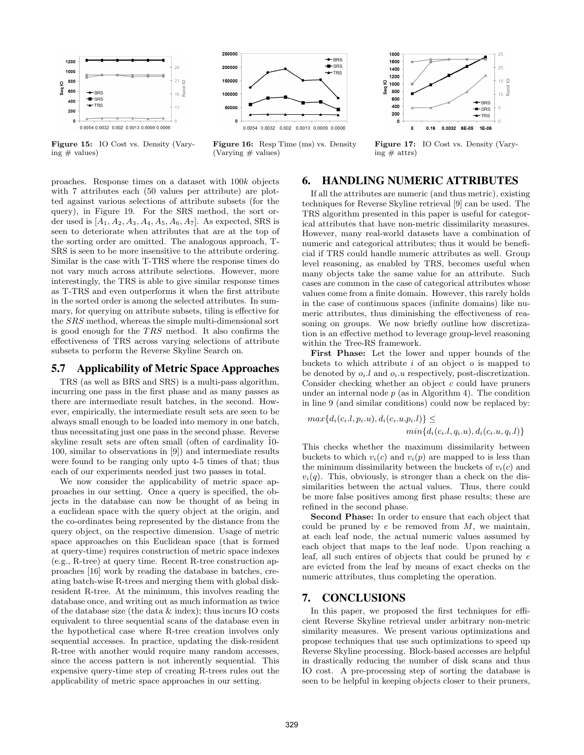

Figure 15: IO Cost vs. Density (Varying  $\#$  values)



Figure 16: Resp Time (ms) vs. Density  $($ Varying  $#$  values $)$ 



Figure 17: IO Cost vs. Density (Varying  $# \text{ attrs}$ 

proaches. Response times on a dataset with 100k objects with 7 attributes each (50 values per attribute) are plotted against various selections of attribute subsets (for the query), in Figure 19. For the SRS method, the sort order used is  $[A_1, A_2, A_3, A_4, A_5, A_6, A_7]$ . As expected, SRS is seen to deteriorate when attributes that are at the top of the sorting order are omitted. The analogous approach, T-SRS is seen to be more insensitive to the attribute ordering. Similar is the case with T-TRS where the response times do not vary much across attribute selections. However, more interestingly, the TRS is able to give similar response times as T-TRS and even outperforms it when the first attribute in the sorted order is among the selected attributes. In summary, for querying on attribute subsets, tiling is effective for the SRS method, whereas the simple multi-dimensional sort is good enough for the  $TRS$  method. It also confirms the effectiveness of TRS across varying selections of attribute subsets to perform the Reverse Skyline Search on.

## **5.7 Applicability of Metric Space Approaches**

TRS (as well as BRS and SRS) is a multi-pass algorithm, incurring one pass in the first phase and as many passes as there are intermediate result batches, in the second. However, empirically, the intermediate result sets are seen to be always small enough to be loaded into memory in one batch, thus necessitating just one pass in the second phase. Reverse skyline result sets are often small (often of cardinality  $10-$ 100, similar to observations in [9]) and intermediate results were found to be ranging only upto 4-5 times of that; thus each of our experiments needed just two passes in total.

We now consider the applicability of metric space approaches in our setting. Once a query is specified, the objects in the database can now be thought of as being in a euclidean space with the query object at the origin, and the co-ordinates being represented by the distance from the query object, on the respective dimension. Usage of metric space approaches on this Euclidean space (that is formed at query-time) requires construction of metric space indexes (e.g., R-tree) at query time. Recent R-tree construction approaches [16] work by reading the database in batches, creating batch-wise R-trees and merging them with global diskresident R-tree. At the minimum, this involves reading the database once, and writing out as much information as twice of the database size (the data & index); thus incurs IO costs equivalent to three sequential scans of the database even in the hypothetical case where R-tree creation involves only sequential accesses. In practice, updating the disk-resident R-tree with another would require many random accesses, since the access pattern is not inherently sequential. This expensive query-time step of creating R-trees rules out the applicability of metric space approaches in our setting.

## **6. HANDLING NUMERIC ATTRIBUTES**

If all the attributes are numeric (and thus metric), existing techniques for Reverse Skyline retrieval [9] can be used. The TRS algorithm presented in this paper is useful for categorical attributes that have non-metric dissimilarity measures. However, many real-world datasets have a combination of numeric and categorical attributes; thus it would be beneficial if TRS could handle numeric attributes as well. Group level reasoning, as enabled by TRS, becomes useful when many objects take the same value for an attribute. Such cases are common in the case of categorical attributes whose values come from a finite domain. However, this rarely holds in the case of continuous spaces (infinite domains) like numeric attributes, thus diminishing the effectiveness of reasoning on groups. We now briefly outline how discretization is an effective method to leverage group-level reasoning within the Tree-RS framework.

First Phase: Let the lower and upper bounds of the buckets to which attribute  $i$  of an object  $o$  is mapped to be denoted by  $o_i.l$  and  $o_i.u$  respectively, post-discretization. Consider checking whether an object c could have pruners under an internal node  $p$  (as in Algorithm 4). The condition in line 9 (and similar conditions) could now be replaced by:

$$
max{d_i(c_i, l, p_i, u), d_i(c_i, u, p_i, l)} \leq
$$
  

$$
min{d_i(c_i, l, q_i, u), d_i(c_i, u, q_i, l)}
$$

This checks whether the maximum dissimilarity between buckets to which  $v_i(c)$  and  $v_i(p)$  are mapped to is less than the minimum dissimilarity between the buckets of  $v_i(c)$  and  $v_i(q)$ . This, obviously, is stronger than a check on the dissimilarities between the actual values. Thus, there could be more false positives among first phase results; these are refined in the second phase.

Second Phase: In order to ensure that each object that could be pruned by  $e$  be removed from  $M$ , we maintain, at each leaf node, the actual numeric values assumed by each object that maps to the leaf node. Upon reaching a leaf, all such entires of objects that could be pruned by e are evicted from the leaf by means of exact checks on the numeric attributes, thus completing the operation.

# **7. CONCLUSIONS**

In this paper, we proposed the first techniques for efficient Reverse Skyline retrieval under arbitrary non-metric similarity measures. We present various optimizations and propose techniques that use such optimizations to speed up Reverse Skyline processing. Block-based accesses are helpful in drastically reducing the number of disk scans and thus IO cost. A pre-processing step of sorting the database is seen to be helpful in keeping objects closer to their pruners,